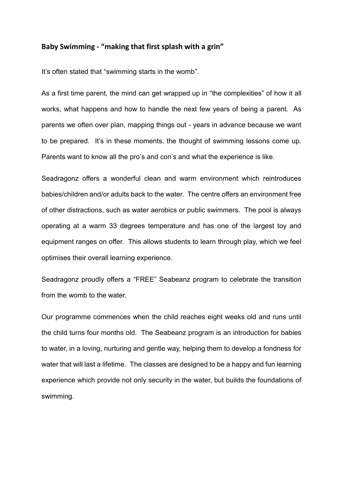## **Baby Swimming - "making that first splash with a grin"**

It's often stated that "swimming starts in the womb".

As a first time parent, the mind can get wrapped up in "the complexities" of how it all works, what happens and how to handle the next few years of being a parent. As parents we often over plan, mapping things out - years in advance because we want to be prepared. It's in these moments, the thought of swimming lessons come up. Parents want to know all the pro's and con's and what the experience is like.

Seadragonz offers a wonderful clean and warm environment which reintroduces babies/children and/or adults back to the water. The centre offers an environment free of other distractions, such as water aerobics or public swimmers. The pool is always operating at a warm 33 degrees temperature and has one of the largest toy and equipment ranges on offer. This allows students to learn through play, which we feel optimises their overall learning experience.

Seadragonz proudly offers a "FREE" Seabeanz program to celebrate the transition from the womb to the water.

Our programme commences when the child reaches eight weeks old and runs until the child turns four months old. The Seabeanz program is an introduction for babies to water, in a loving, nurturing and gentle way, helping them to develop a fondness for water that will last a lifetime. The classes are designed to be a happy and fun learning experience which provide not only security in the water, but builds the foundations of swimming.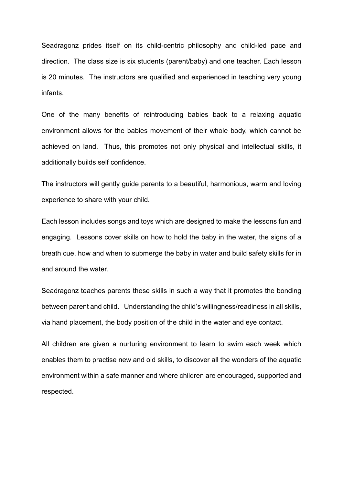Seadragonz prides itself on its child-centric philosophy and child-led pace and direction. The class size is six students (parent/baby) and one teacher. Each lesson is 20 minutes. The instructors are qualified and experienced in teaching very young infants.

One of the many benefits of reintroducing babies back to a relaxing aquatic environment allows for the babies movement of their whole body, which cannot be achieved on land. Thus, this promotes not only physical and intellectual skills, it additionally builds self confidence.

The instructors will gently guide parents to a beautiful, harmonious, warm and loving experience to share with your child.

Each lesson includes songs and toys which are designed to make the lessons fun and engaging. Lessons cover skills on how to hold the baby in the water, the signs of a breath cue, how and when to submerge the baby in water and build safety skills for in and around the water.

Seadragonz teaches parents these skills in such a way that it promotes the bonding between parent and child. Understanding the child's willingness/readiness in all skills, via hand placement, the body position of the child in the water and eye contact.

All children are given a nurturing environment to learn to swim each week which enables them to practise new and old skills, to discover all the wonders of the aquatic environment within a safe manner and where children are encouraged, supported and respected.